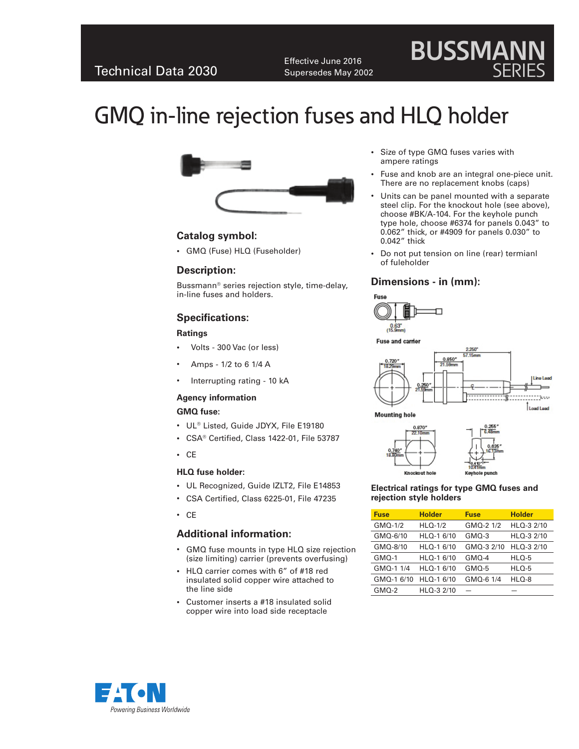Effective June 2016 Supersedes May 2002

# **BUSSMANN** SERIES

# GMQ in-line rejection fuses and HLQ holder



# **Catalog symbol:**

• GMQ (Fuse) HLQ (Fuseholder)

# **Description:**

Bussmann® series rejection style, time-delay, in-line fuses and holders.

# **Specifications:**

#### **Ratings**

- Volts 300 Vac (or less)
- Amps 1/2 to 6 1/4 A
- Interrupting rating 10 kA

#### **Agency information**

#### **GMQ fuse:**

- • UL® Listed, Guide JDYX, File E19180
- • CSA® Certified, Class 1422-01, File 53787
- • CE

#### **HLQ fuse holder:**

- • UL Recognized, Guide IZLT2, File E14853
- • CSA Certified, Class 6225-01, File 47235
- • CE

# **Additional information:**

- GMQ fuse mounts in type HLQ size rejection (size limiting) carrier (prevents overfusing)
- • HLQ carrier comes with 6" of #18 red insulated solid copper wire attached to the line side
- • Customer inserts a #18 insulated solid copper wire into load side receptacle
- • Size of type GMQ fuses varies with ampere ratings
- Fuse and knob are an integral one-piece unit. There are no replacement knobs (caps)
- Units can be panel mounted with a separate steel clip. For the knockout hole (see above), choose #BK/A-104. For the keyhole punch type hole, choose #6374 for panels 0.043" to 0.062" thick, or #4909 for panels 0.030" to 0.042" thick
- Do not put tension on line (rear) termianl of fuleholder

# **Dimensions - in (mm):**



Fuse and carrier





#### **Electrical ratings for type GMQ fuses and rejection style holders**

| <b>Fuse</b> | <b>Holder</b> | <b>Fuse</b> | <b>Holder</b> |
|-------------|---------------|-------------|---------------|
| GMQ-1/2     | $HLO-1/2$     | GMQ-2 1/2   | $HLO-3$ 2/10  |
| GMQ-6/10    | HLQ-1 6/10    | GMQ-3       | HLQ-3 2/10    |
| GMQ-8/10    | HLQ-1 6/10    | GMQ-3 2/10  | HLQ-3 2/10    |
| GMQ-1       | HLQ-1 6/10    | $GMO-4$     | $HLO-5$       |
| GMQ-1 1/4   | HLQ-1 6/10    | GMO-5       | $HLO-5$       |
| GMQ-1 6/10  | HLQ-1 6/10    | GMQ-6 1/4   | HLQ-8         |
| $GMO-2$     | HLQ-3 2/10    |             |               |